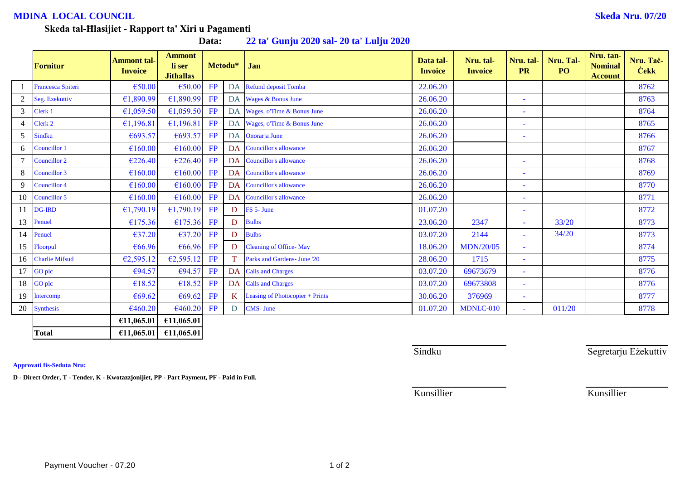## **MDINA LOCAL COUNCIL Skeda Nru. 07/20**

## **Skeda tal-Ħlasijiet - Rapport ta' Xiri u Pagamenti**

**Data: 22 ta' Gunju 2020 sal- 20 ta' Lulju 2020**

|                | Fornitur              | <b>Ammont tal-</b><br><b>Invoice</b> | <b>Ammont</b><br>li ser<br><b>Jithallas</b> | Metodu* |    | Jan                             | Data tal-<br><b>Invoice</b> | Nru. tal-<br><b>Invoice</b> | Nru. tal-<br><b>PR</b>   | Nru. Tal-<br>P <sub>O</sub> | Nru. tan-<br><b>Nominal</b><br><b>Account</b> | Nru. Tač-<br><b>Cekk</b> |
|----------------|-----------------------|--------------------------------------|---------------------------------------------|---------|----|---------------------------------|-----------------------------|-----------------------------|--------------------------|-----------------------------|-----------------------------------------------|--------------------------|
|                | Francesca Spiteri     | €50.00                               | €50.00                                      | FP      |    | DA Refund deposit Tomba         | 22.06.20                    |                             |                          |                             |                                               | 8762                     |
| 2              | Seg. Ezekuttiv        | €1,890.99                            | €1,890.99                                   | FP      |    | DA Wages & Bonus June           | 26.06.20                    |                             | Ξ                        |                             |                                               | 8763                     |
| $\mathfrak{Z}$ | Clerk 1               | €1,059.50                            | £1,059.50                                   | FP      |    | DA Wages, o'Time & Bonus June   | 26.06.20                    |                             | ۰                        |                             |                                               | 8764                     |
| $\overline{4}$ | Clerk 2               | €1,196.81                            | £1,196.81                                   | FP      |    | DA Wages, o'Time & Bonus June   | 26.06.20                    |                             | ۰                        |                             |                                               | 8765                     |
| 5              | <b>Sindku</b>         | €693.57                              | €693.57                                     | FP      |    | DA Onorarja June                | 26.06.20                    |                             | $\overline{\phantom{a}}$ |                             |                                               | 8766                     |
| 6              | Councillor 1          | €160.00                              | €160.00                                     | FP      |    | DA Councillor's allowance       | 26.06.20                    |                             |                          |                             |                                               | 8767                     |
|                | Councillor 2          | €226.40                              | €226.40                                     | FP      |    | DA Councillor's allowance       | 26.06.20                    |                             | ÷                        |                             |                                               | 8768                     |
| 8              | Councillor 3          | €160.00                              | €160.00                                     | FP      |    | DA Councillor's allowance       | 26.06.20                    |                             | ۰                        |                             |                                               | 8769                     |
| 9              | <b>Councillor 4</b>   | €160.00                              | €160.00                                     | FP      |    | DA Councillor's allowance       | 26.06.20                    |                             | ۳                        |                             |                                               | 8770                     |
| 10             | Councillor 5          | €160.00                              | €160.00                                     | FP      |    | DA Councillor's allowance       | 26.06.20                    |                             | $\overline{\phantom{a}}$ |                             |                                               | 8771                     |
| 11             | <b>DG-IRD</b>         | €1,790.19                            | £1,790.19                                   | FP      | D  | FS 5- June                      | 01.07.20                    |                             | ÷,                       |                             |                                               | 8772                     |
| 13             | Penuel                | €175.36                              | €175.36                                     | FP      | D  | <b>Bulbs</b>                    | 23.06.20                    | 2347                        | ۰                        | 33/20                       |                                               | 8773                     |
|                | 14 Penuel             | €37.20                               | €37.20                                      | FP      | D  | <b>Bulbs</b>                    | 03.07.20                    | 2144                        |                          | 34/20                       |                                               | 8773                     |
| 15             | Floorpul              | €66.96                               | €66.96                                      | FP      | D  | <b>Cleaning of Office-May</b>   | 18.06.20                    | <b>MDN/20/05</b>            | ٠                        |                             |                                               | 8774                     |
| 16             | <b>Charlie Mifsud</b> | €2,595.12                            | E2,595.12                                   | FP      |    | Parks and Gardens- June '20     | 28.06.20                    | 1715                        | $\blacksquare$           |                             |                                               | 8775                     |
| 17             | <b>GO</b> plc         | €94.57                               | €94.57                                      | FP      |    | DA Calls and Charges            | 03.07.20                    | 69673679                    | $\blacksquare$           |                             |                                               | 8776                     |
| 18             | <b>GO</b> plc         | €18.52                               | €18.52                                      | FP      |    | DA Calls and Charges            | 03.07.20                    | 69673808                    | $\sim$                   |                             |                                               | 8776                     |
| 19             | Intercomp             | €69.62                               | €69.62                                      | FP      | K. | Leasing of Photocopier + Prints | 30.06.20                    | 376969                      | ۰                        |                             |                                               | 8777                     |
|                | 20 Synthesis          | €460.20                              | €460.20                                     | FP      | D  | <b>CMS-June</b>                 | 01.07.20                    | MDNLC-010                   | $\blacksquare$           | 011/20                      |                                               | 8778                     |
|                |                       | €11,065.01                           | £11,065.01                                  |         |    |                                 |                             |                             |                          |                             |                                               |                          |
|                | <b>Total</b>          | £11,065.01                           | £11,065.01                                  |         |    |                                 |                             |                             |                          |                             |                                               |                          |

**Approvati fis-Seduta Nru:**

**D - Direct Order, T - Tender, K - Kwotazzjonijiet, PP - Part Payment, PF - Paid in Full.**

Sindku Sindku Segretarju Eżekuttiv

Payment Voucher - 07.20 1 of 2

Kunsillier Kunsillier